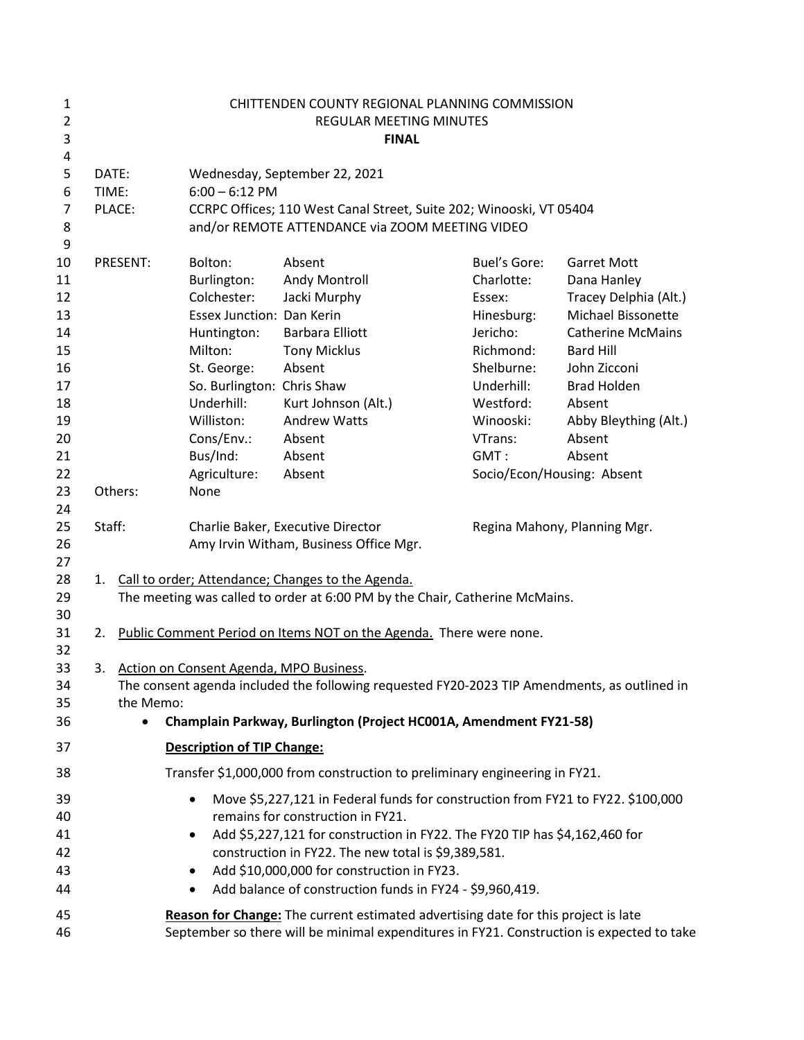| 1<br>$\overline{2}$<br>3 | CHITTENDEN COUNTY REGIONAL PLANNING COMMISSION<br>REGULAR MEETING MINUTES<br><b>FINAL</b> |                                            |                                                                                                                                                               |                            |                              |  |  |
|--------------------------|-------------------------------------------------------------------------------------------|--------------------------------------------|---------------------------------------------------------------------------------------------------------------------------------------------------------------|----------------------------|------------------------------|--|--|
| 4                        |                                                                                           |                                            |                                                                                                                                                               |                            |                              |  |  |
| 5                        | DATE:                                                                                     |                                            | Wednesday, September 22, 2021                                                                                                                                 |                            |                              |  |  |
| 6                        | TIME:                                                                                     | $6:00 - 6:12$ PM                           |                                                                                                                                                               |                            |                              |  |  |
| 7                        | PLACE:                                                                                    |                                            | CCRPC Offices; 110 West Canal Street, Suite 202; Winooski, VT 05404                                                                                           |                            |                              |  |  |
| 8                        |                                                                                           |                                            | and/or REMOTE ATTENDANCE via ZOOM MEETING VIDEO                                                                                                               |                            |                              |  |  |
| 9                        |                                                                                           |                                            |                                                                                                                                                               |                            |                              |  |  |
| 10                       | <b>PRESENT:</b>                                                                           | Bolton:                                    | Absent                                                                                                                                                        | <b>Buel's Gore:</b>        | <b>Garret Mott</b>           |  |  |
| 11                       |                                                                                           | Burlington:                                | Andy Montroll                                                                                                                                                 | Charlotte:                 | Dana Hanley                  |  |  |
| 12                       |                                                                                           | Colchester:                                | Jacki Murphy                                                                                                                                                  | Essex:                     | Tracey Delphia (Alt.)        |  |  |
| 13                       |                                                                                           | <b>Essex Junction: Dan Kerin</b>           |                                                                                                                                                               | Hinesburg:                 | Michael Bissonette           |  |  |
| 14                       |                                                                                           | Huntington:                                | <b>Barbara Elliott</b>                                                                                                                                        | Jericho:                   | <b>Catherine McMains</b>     |  |  |
| 15                       |                                                                                           | Milton:                                    | <b>Tony Micklus</b>                                                                                                                                           | Richmond:                  | <b>Bard Hill</b>             |  |  |
| 16                       |                                                                                           | St. George:                                | Absent                                                                                                                                                        | Shelburne:                 | John Zicconi                 |  |  |
| 17                       |                                                                                           | So. Burlington: Chris Shaw                 |                                                                                                                                                               | Underhill:                 | <b>Brad Holden</b>           |  |  |
| 18                       |                                                                                           | Underhill:                                 | Kurt Johnson (Alt.)                                                                                                                                           | Westford:                  | Absent                       |  |  |
| 19                       |                                                                                           | Williston:                                 | <b>Andrew Watts</b>                                                                                                                                           | Winooski:                  | Abby Bleything (Alt.)        |  |  |
| 20                       |                                                                                           | Cons/Env.:                                 | Absent                                                                                                                                                        | VTrans:                    | Absent                       |  |  |
| 21                       |                                                                                           | Bus/Ind:                                   | Absent                                                                                                                                                        | GMT:                       | Absent                       |  |  |
| 22                       |                                                                                           | Agriculture:                               | Absent                                                                                                                                                        | Socio/Econ/Housing: Absent |                              |  |  |
| 23                       | Others:                                                                                   | None                                       |                                                                                                                                                               |                            |                              |  |  |
| 24                       |                                                                                           |                                            |                                                                                                                                                               |                            |                              |  |  |
| 25                       | Staff:                                                                                    |                                            | Charlie Baker, Executive Director                                                                                                                             |                            | Regina Mahony, Planning Mgr. |  |  |
| 26                       |                                                                                           |                                            | Amy Irvin Witham, Business Office Mgr.                                                                                                                        |                            |                              |  |  |
| 27                       |                                                                                           |                                            |                                                                                                                                                               |                            |                              |  |  |
| 28                       |                                                                                           |                                            | 1. Call to order; Attendance; Changes to the Agenda.                                                                                                          |                            |                              |  |  |
| 29                       |                                                                                           |                                            | The meeting was called to order at 6:00 PM by the Chair, Catherine McMains.                                                                                   |                            |                              |  |  |
| 30<br>31                 |                                                                                           |                                            | 2. Public Comment Period on Items NOT on the Agenda. There were none.                                                                                         |                            |                              |  |  |
| 32                       |                                                                                           |                                            |                                                                                                                                                               |                            |                              |  |  |
| 33                       |                                                                                           | 3. Action on Consent Agenda, MPO Business. |                                                                                                                                                               |                            |                              |  |  |
| 34                       |                                                                                           |                                            | The consent agenda included the following requested FY20-2023 TIP Amendments, as outlined in                                                                  |                            |                              |  |  |
| 35                       | the Memo:                                                                                 |                                            |                                                                                                                                                               |                            |                              |  |  |
| 36                       |                                                                                           |                                            | Champlain Parkway, Burlington (Project HC001A, Amendment FY21-58)                                                                                             |                            |                              |  |  |
| 37                       |                                                                                           | <b>Description of TIP Change:</b>          |                                                                                                                                                               |                            |                              |  |  |
| 38                       |                                                                                           |                                            |                                                                                                                                                               |                            |                              |  |  |
| 39                       |                                                                                           |                                            | Transfer \$1,000,000 from construction to preliminary engineering in FY21.<br>Move \$5,227,121 in Federal funds for construction from FY21 to FY22. \$100,000 |                            |                              |  |  |
| 40                       |                                                                                           |                                            | remains for construction in FY21.                                                                                                                             |                            |                              |  |  |
| 41                       |                                                                                           | $\bullet$                                  | Add \$5,227,121 for construction in FY22. The FY20 TIP has \$4,162,460 for                                                                                    |                            |                              |  |  |
| 42                       |                                                                                           |                                            | construction in FY22. The new total is \$9,389,581.                                                                                                           |                            |                              |  |  |
| 43                       |                                                                                           |                                            | Add \$10,000,000 for construction in FY23.                                                                                                                    |                            |                              |  |  |
| 44                       |                                                                                           |                                            | Add balance of construction funds in FY24 - \$9,960,419.                                                                                                      |                            |                              |  |  |
| 45                       |                                                                                           |                                            | Reason for Change: The current estimated advertising date for this project is late                                                                            |                            |                              |  |  |
| 46                       |                                                                                           |                                            | September so there will be minimal expenditures in FY21. Construction is expected to take                                                                     |                            |                              |  |  |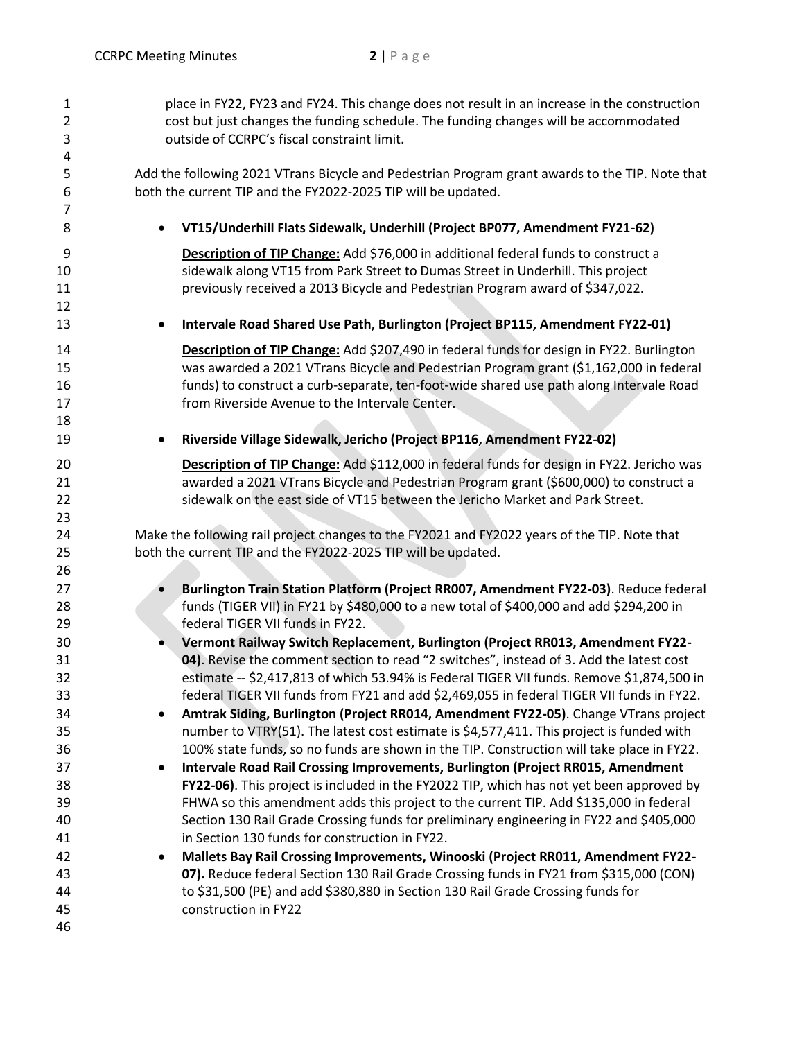| $\mathbf{1}$   | place in FY22, FY23 and FY24. This change does not result in an increase in the construction    |  |  |  |  |
|----------------|-------------------------------------------------------------------------------------------------|--|--|--|--|
| $\overline{2}$ | cost but just changes the funding schedule. The funding changes will be accommodated            |  |  |  |  |
| 3              | outside of CCRPC's fiscal constraint limit.                                                     |  |  |  |  |
| 4              |                                                                                                 |  |  |  |  |
| 5              | Add the following 2021 VTrans Bicycle and Pedestrian Program grant awards to the TIP. Note that |  |  |  |  |
| 6              | both the current TIP and the FY2022-2025 TIP will be updated.                                   |  |  |  |  |
| 7              |                                                                                                 |  |  |  |  |
| 8              | VT15/Underhill Flats Sidewalk, Underhill (Project BP077, Amendment FY21-62)                     |  |  |  |  |
| 9              | Description of TIP Change: Add \$76,000 in additional federal funds to construct a              |  |  |  |  |
| 10             | sidewalk along VT15 from Park Street to Dumas Street in Underhill. This project                 |  |  |  |  |
| 11             | previously received a 2013 Bicycle and Pedestrian Program award of \$347,022.                   |  |  |  |  |
| 12             |                                                                                                 |  |  |  |  |
| 13             | Intervale Road Shared Use Path, Burlington (Project BP115, Amendment FY22-01)<br>$\bullet$      |  |  |  |  |
| 14             | Description of TIP Change: Add \$207,490 in federal funds for design in FY22. Burlington        |  |  |  |  |
| 15             | was awarded a 2021 VTrans Bicycle and Pedestrian Program grant (\$1,162,000 in federal          |  |  |  |  |
| 16             | funds) to construct a curb-separate, ten-foot-wide shared use path along Intervale Road         |  |  |  |  |
| 17             | from Riverside Avenue to the Intervale Center.                                                  |  |  |  |  |
| 18             |                                                                                                 |  |  |  |  |
| 19             | Riverside Village Sidewalk, Jericho (Project BP116, Amendment FY22-02)                          |  |  |  |  |
|                | ٠                                                                                               |  |  |  |  |
| 20             | Description of TIP Change: Add \$112,000 in federal funds for design in FY22. Jericho was       |  |  |  |  |
| 21             | awarded a 2021 VTrans Bicycle and Pedestrian Program grant (\$600,000) to construct a           |  |  |  |  |
| 22             | sidewalk on the east side of VT15 between the Jericho Market and Park Street.                   |  |  |  |  |
| 23             |                                                                                                 |  |  |  |  |
| 24             | Make the following rail project changes to the FY2021 and FY2022 years of the TIP. Note that    |  |  |  |  |
| 25             | both the current TIP and the FY2022-2025 TIP will be updated.                                   |  |  |  |  |
| 26             |                                                                                                 |  |  |  |  |
| 27             | Burlington Train Station Platform (Project RR007, Amendment FY22-03). Reduce federal            |  |  |  |  |
| 28             | funds (TIGER VII) in FY21 by \$480,000 to a new total of \$400,000 and add \$294,200 in         |  |  |  |  |
| 29             | federal TIGER VII funds in FY22.                                                                |  |  |  |  |
| 30             | Vermont Railway Switch Replacement, Burlington (Project RR013, Amendment FY22-                  |  |  |  |  |
| 31             | 04). Revise the comment section to read "2 switches", instead of 3. Add the latest cost         |  |  |  |  |
| 32             | estimate -- \$2,417,813 of which 53.94% is Federal TIGER VII funds. Remove \$1,874,500 in       |  |  |  |  |
| 33             | federal TIGER VII funds from FY21 and add \$2,469,055 in federal TIGER VII funds in FY22.       |  |  |  |  |
| 34             | Amtrak Siding, Burlington (Project RR014, Amendment FY22-05). Change VTrans project             |  |  |  |  |
| 35             | number to VTRY(51). The latest cost estimate is \$4,577,411. This project is funded with        |  |  |  |  |
| 36             | 100% state funds, so no funds are shown in the TIP. Construction will take place in FY22.       |  |  |  |  |
|                |                                                                                                 |  |  |  |  |
| 37             | Intervale Road Rail Crossing Improvements, Burlington (Project RR015, Amendment<br>٠            |  |  |  |  |
| 38             | FY22-06). This project is included in the FY2022 TIP, which has not yet been approved by        |  |  |  |  |
| 39             | FHWA so this amendment adds this project to the current TIP. Add \$135,000 in federal           |  |  |  |  |
| 40             | Section 130 Rail Grade Crossing funds for preliminary engineering in FY22 and \$405,000         |  |  |  |  |
| 41             | in Section 130 funds for construction in FY22.                                                  |  |  |  |  |
| 42             | Mallets Bay Rail Crossing Improvements, Winooski (Project RR011, Amendment FY22-<br>٠           |  |  |  |  |
| 43             | 07). Reduce federal Section 130 Rail Grade Crossing funds in FY21 from \$315,000 (CON)          |  |  |  |  |
| 44             | to \$31,500 (PE) and add \$380,880 in Section 130 Rail Grade Crossing funds for                 |  |  |  |  |
| 45             | construction in FY22                                                                            |  |  |  |  |
| 46             |                                                                                                 |  |  |  |  |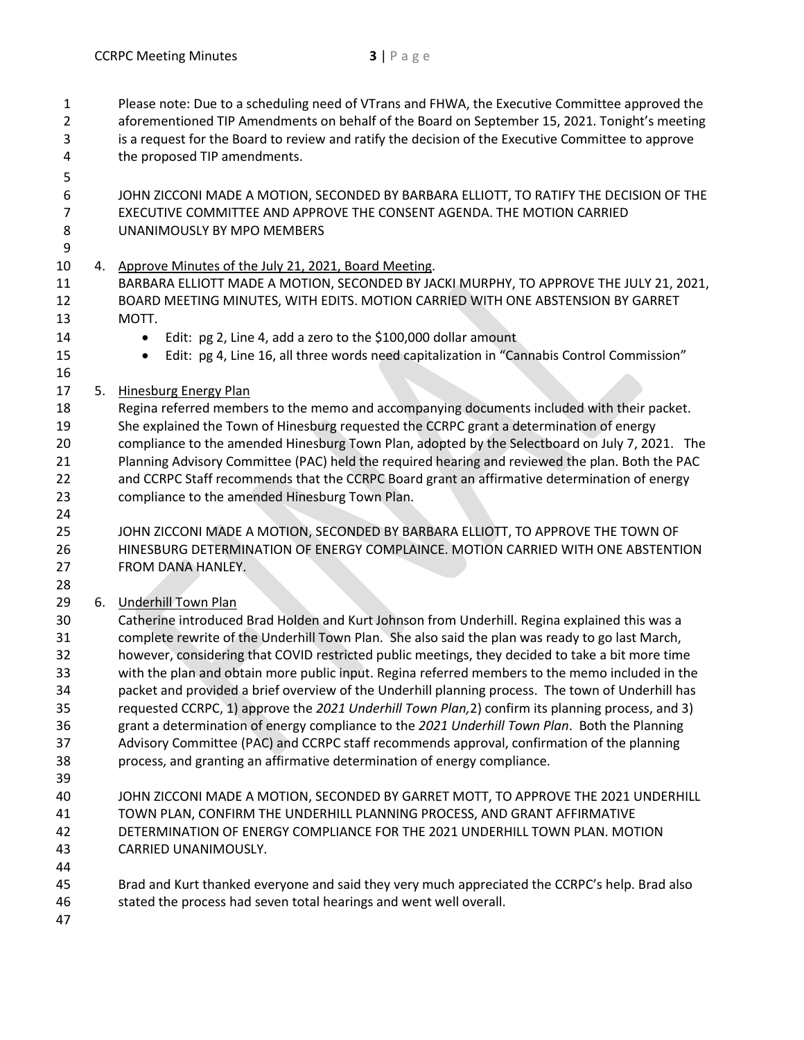- Please note: Due to a scheduling need of VTrans and FHWA, the Executive Committee approved the aforementioned TIP Amendments on behalf of the Board on September 15, 2021. Tonight's meeting is a request for the Board to review and ratify the decision of the Executive Committee to approve the proposed TIP amendments. JOHN ZICCONI MADE A MOTION, SECONDED BY BARBARA ELLIOTT, TO RATIFY THE DECISION OF THE EXECUTIVE COMMITTEE AND APPROVE THE CONSENT AGENDA. THE MOTION CARRIED UNANIMOUSLY BY MPO MEMBERS 4. Approve Minutes of the July 21, 2021, Board Meeting. BARBARA ELLIOTT MADE A MOTION, SECONDED BY JACKI MURPHY, TO APPROVE THE JULY 21, 2021, BOARD MEETING MINUTES, WITH EDITS. MOTION CARRIED WITH ONE ABSTENSION BY GARRET MOTT.
- 
- Edit: pg 2, Line 4, add a zero to the \$100,000 dollar amount
- 15 Edit: pg 4, Line 16, all three words need capitalization in "Cannabis Control Commission"
- 

5. Hinesburg Energy Plan

 Regina referred members to the memo and accompanying documents included with their packet. She explained the Town of Hinesburg requested the CCRPC grant a determination of energy compliance to the amended Hinesburg Town Plan, adopted by the Selectboard on July 7, 2021. The Planning Advisory Committee (PAC) held the required hearing and reviewed the plan. Both the PAC 22 and CCRPC Staff recommends that the CCRPC Board grant an affirmative determination of energy compliance to the amended Hinesburg Town Plan.

 JOHN ZICCONI MADE A MOTION, SECONDED BY BARBARA ELLIOTT, TO APPROVE THE TOWN OF HINESBURG DETERMINATION OF ENERGY COMPLAINCE. MOTION CARRIED WITH ONE ABSTENTION FROM DANA HANLEY.

6. Underhill Town Plan

 Catherine introduced Brad Holden and Kurt Johnson from Underhill. Regina explained this was a complete rewrite of the Underhill Town Plan. She also said the plan was ready to go last March, however, considering that COVID restricted public meetings, they decided to take a bit more time with the plan and obtain more public input. Regina referred members to the memo included in the packet and provided a brief overview of the Underhill planning process. The town of Underhill has requested CCRPC, 1) approve the *2021 Underhill Town Plan,*2) confirm its planning process, and 3) grant a determination of energy compliance to the *2021 Underhill Town Plan*. Both the Planning Advisory Committee (PAC) and CCRPC staff recommends approval, confirmation of the planning process, and granting an affirmative determination of energy compliance.

 JOHN ZICCONI MADE A MOTION, SECONDED BY GARRET MOTT, TO APPROVE THE 2021 UNDERHILL TOWN PLAN, CONFIRM THE UNDERHILL PLANNING PROCESS, AND GRANT AFFIRMATIVE DETERMINATION OF ENERGY COMPLIANCE FOR THE 2021 UNDERHILL TOWN PLAN. MOTION CARRIED UNANIMOUSLY.

- 
- Brad and Kurt thanked everyone and said they very much appreciated the CCRPC's help. Brad also stated the process had seven total hearings and went well overall.
-